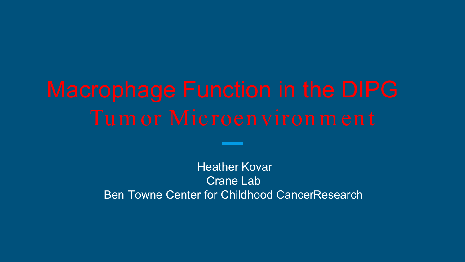Heather Kovar Crane Lab Ben Towne Center for Childhood Cancer Research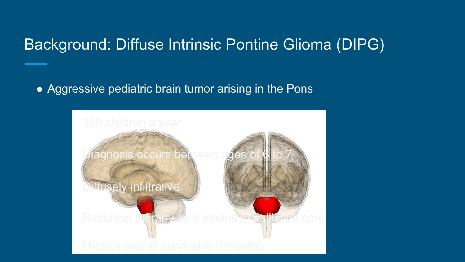## Background: Diffuse Intrinsic Pontine Glioma (DIPG)

• Aggressive pediatric brain tumor arising in the Pons

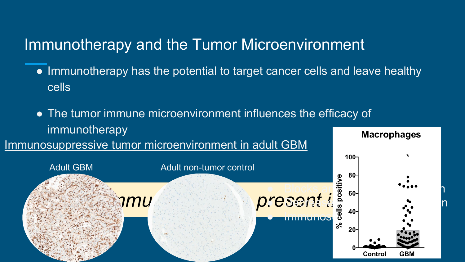## Immunotherapy and the Tumor Microenvironment

- Immunotherapy has the potential to target cancer cells and leave healthy cells
- The tumor immune microenvironment influences the efficacy of immunotherapy



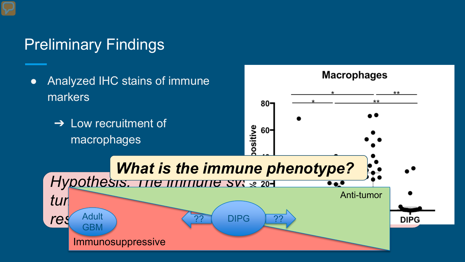# Preliminary Findings

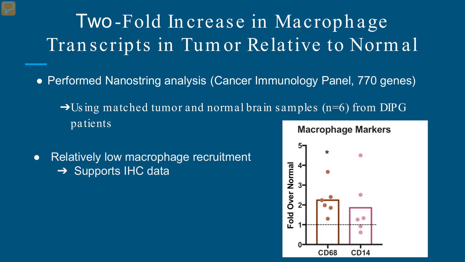Two-Fold In crease in Macroph age Tran scripts in Tum or Relative to Norm al

- Performed Nanostring analysis (Cancer Immunology Panel, 770 genes)
	- $\rightarrow$ Using matched tumor and normal brain samples (n=6) from DIPG patients
- Relatively low macrophage recruitment **→ Supports IHC data**

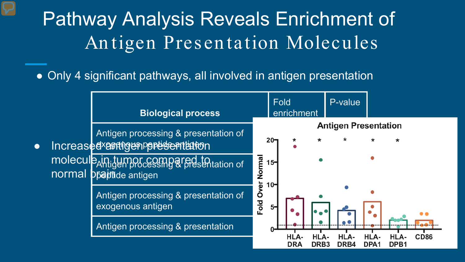# Pathway Analysis Reveals Enrichment of An tigen Presen tation Molecules

• Only 4 significant pathways, all involved in antigen presentation

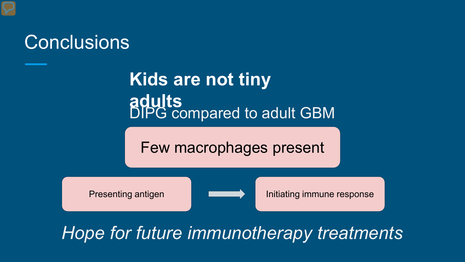

# DIPG compared to adult GBM **Kids are not tiny adults**

Few macrophages present



Presenting antigen **Initiating immune response** 

# *Hope for future immunotherapy treatments*